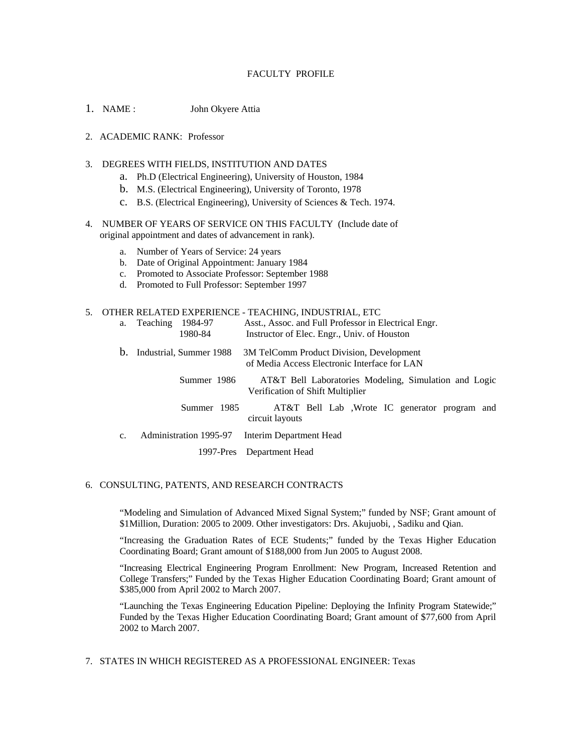# FACULTY PROFILE

- 1. NAME : John Okyere Attia
- 2. ACADEMIC RANK: Professor
- 3. DEGREES WITH FIELDS, INSTITUTION AND DATES
	- a. Ph.D (Electrical Engineering), University of Houston, 1984
	- b. M.S. (Electrical Engineering), University of Toronto, 1978
	- c. B.S. (Electrical Engineering), University of Sciences & Tech. 1974.
- 4. NUMBER OF YEARS OF SERVICE ON THIS FACULTY (Include date of original appointment and dates of advancement in rank).
	- a. Number of Years of Service: 24 years
	- b. Date of Original Appointment: January 1984
	- c. Promoted to Associate Professor: September 1988
	- d. Promoted to Full Professor: September 1997

#### 5. OTHER RELATED EXPERIENCE - TEACHING, INDUSTRIAL, ETC

| a.          | Teaching<br>1984-97<br>1980-84 | Asst., Assoc. and Full Professor in Electrical Engr.<br>Instructor of Elec. Engr., Univ. of Houston |
|-------------|--------------------------------|-----------------------------------------------------------------------------------------------------|
| $b_{\cdot}$ | Industrial, Summer 1988        | 3M TelComm Product Division, Development<br>of Media Access Electronic Interface for LAN            |
|             | Summer 1986                    | AT&T Bell Laboratories Modeling, Simulation and Logic<br>Verification of Shift Multiplier           |
|             | Summer 1985                    | AT&T Bell Lab , Wrote IC generator program and<br>circuit layouts                                   |
| c.          | Administration 1995-97         | Interim Department Head                                                                             |
|             |                                | 1997-Pres Department Head                                                                           |

### 6. CONSULTING, PATENTS, AND RESEARCH CONTRACTS

"Modeling and Simulation of Advanced Mixed Signal System;" funded by NSF; Grant amount of \$1Million, Duration: 2005 to 2009. Other investigators: Drs. Akujuobi, , Sadiku and Qian.

"Increasing the Graduation Rates of ECE Students;" funded by the Texas Higher Education Coordinating Board; Grant amount of \$188,000 from Jun 2005 to August 2008.

"Increasing Electrical Engineering Program Enrollment: New Program, Increased Retention and College Transfers;" Funded by the Texas Higher Education Coordinating Board; Grant amount of \$385,000 from April 2002 to March 2007.

"Launching the Texas Engineering Education Pipeline: Deploying the Infinity Program Statewide;" Funded by the Texas Higher Education Coordinating Board; Grant amount of \$77,600 from April 2002 to March 2007.

7. STATES IN WHICH REGISTERED AS A PROFESSIONAL ENGINEER: Texas